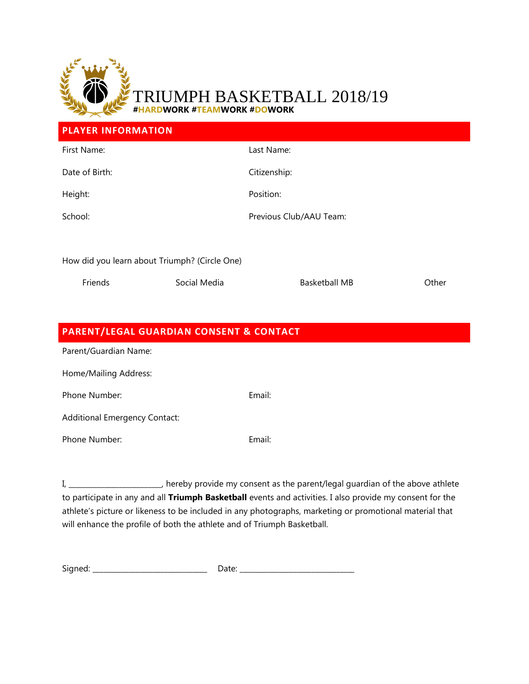

## APH BASKETBALL 2018/19 **#HARDWORK #TEAMWORK #DOWORK**

| <b>PLAYER INFORMATION</b>                     |              |                         |       |  |
|-----------------------------------------------|--------------|-------------------------|-------|--|
| First Name:                                   |              | Last Name:              |       |  |
| Date of Birth:                                |              | Citizenship:            |       |  |
| Height:                                       |              | Position:               |       |  |
| School:                                       |              | Previous Club/AAU Team: |       |  |
|                                               |              |                         |       |  |
| How did you learn about Triumph? (Circle One) |              |                         |       |  |
| Friends                                       | Social Media | <b>Basketball MB</b>    | Other |  |

| <b>PARENT/LEGAL GUARDIAN CONSENT &amp; CONTACT</b> |        |  |  |  |  |  |
|----------------------------------------------------|--------|--|--|--|--|--|
| Parent/Guardian Name:                              |        |  |  |  |  |  |
| Home/Mailing Address:                              |        |  |  |  |  |  |
| Phone Number:                                      | Email: |  |  |  |  |  |
| <b>Additional Emergency Contact:</b>               |        |  |  |  |  |  |
| Phone Number:                                      | Email: |  |  |  |  |  |
|                                                    |        |  |  |  |  |  |

I, \_\_\_\_\_\_\_\_\_\_\_\_\_\_\_\_\_\_\_\_\_\_\_\_\_\_, hereby provide my consent as the parent/legal guardian of the above athlete to participate in any and all **Triumph Basketball** events and activities. I also provide my consent for the athlete's picture or likeness to be included in any photographs, marketing or promotional material that will enhance the profile of both the athlete and of Triumph Basketball.

Signed: \_\_\_\_\_\_\_\_\_\_\_\_\_\_\_\_\_\_\_\_\_\_\_\_\_\_\_\_\_\_\_\_ Date: \_\_\_\_\_\_\_\_\_\_\_\_\_\_\_\_\_\_\_\_\_\_\_\_\_\_\_\_\_\_\_\_